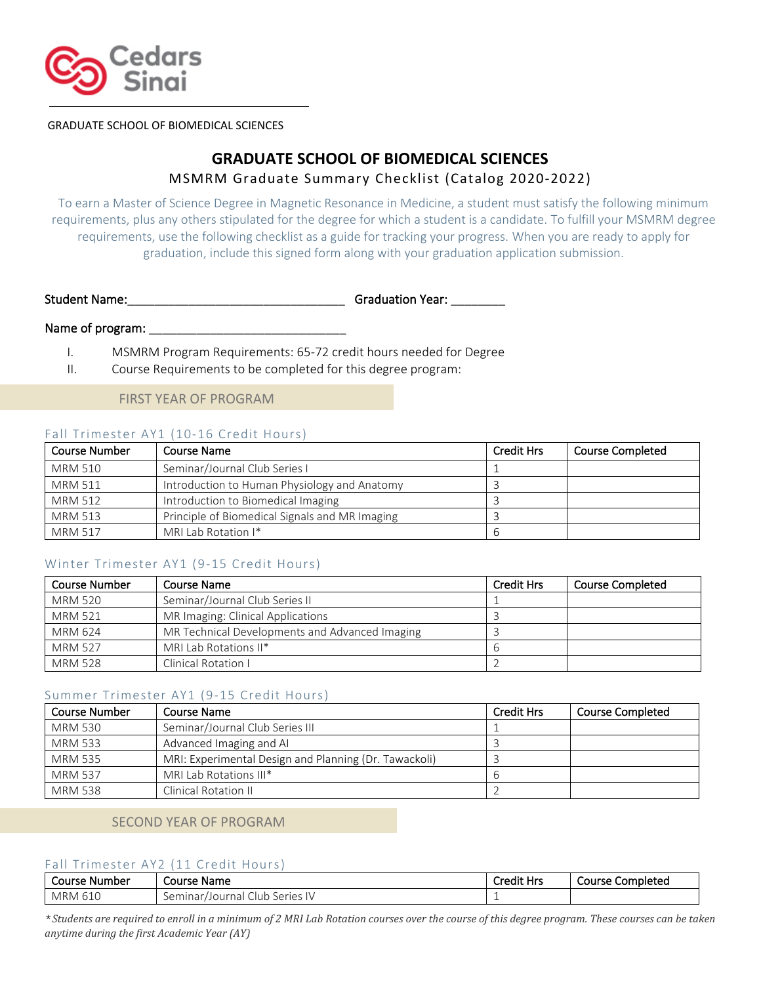

GRADUATE SCHOOL OF BIOMEDICAL SCIENCES

# **GRADUATE SCHOOL OF BIOMEDICAL SCIENCES** MSMRM Graduate Summary Checklist (Catalog 2020-2022)

To earn a Master of Science Degree in Magnetic Resonance in Medicine, a student must satisfy the following minimum requirements, plus any others stipulated for the degree for which a student is a candidate. To fulfill your MSMRM degree requirements, use the following checklist as a guide for tracking your progress. When you are ready to apply for graduation, include this signed form along with your graduation application submission.

Student Name:\_\_\_\_\_\_\_\_\_\_\_\_\_\_\_\_\_\_\_\_\_\_\_\_\_\_\_\_\_\_\_\_ Graduation Year: \_\_\_\_\_\_\_\_

### Name of program:

- I. MSMRM Program Requirements: 65-72 credit hours needed for Degree
- II. Course Requirements to be completed for this degree program:

FIRST YEAR OF PROGRAM

## Fall Trimester AY1 (10-16 Credit Hours)

| <b>Course Number</b> | Course Name                                    | <b>Credit Hrs</b> | <b>Course Completed</b> |
|----------------------|------------------------------------------------|-------------------|-------------------------|
| MRM 510              | Seminar/Journal Club Series I                  |                   |                         |
| <b>MRM 511</b>       | Introduction to Human Physiology and Anatomy   |                   |                         |
| <b>MRM 512</b>       | Introduction to Biomedical Imaging             |                   |                         |
| <b>MRM 513</b>       | Principle of Biomedical Signals and MR Imaging |                   |                         |
| <b>MRM 517</b>       | MRI Lab Rotation I*                            |                   |                         |

# Winter Trimester AY1 (9-15 Credit Hours)

| <b>Course Number</b> | Course Name                                    | <b>Credit Hrs</b> | <b>Course Completed</b> |
|----------------------|------------------------------------------------|-------------------|-------------------------|
| <b>MRM 520</b>       | Seminar/Journal Club Series II                 |                   |                         |
| <b>MRM 521</b>       | MR Imaging: Clinical Applications              |                   |                         |
| MRM 624              | MR Technical Developments and Advanced Imaging |                   |                         |
| <b>MRM 527</b>       | MRI Lab Rotations II*                          |                   |                         |
| <b>MRM 528</b>       | Clinical Rotation I                            |                   |                         |

### Summer Trimester AY1 (9-15 Credit Hours)

| Course Number  | Course Name                                           | <b>Credit Hrs</b> | <b>Course Completed</b> |
|----------------|-------------------------------------------------------|-------------------|-------------------------|
| <b>MRM 530</b> | Seminar/Journal Club Series III                       |                   |                         |
| <b>MRM 533</b> | Advanced Imaging and AI                               |                   |                         |
| <b>MRM 535</b> | MRI: Experimental Design and Planning (Dr. Tawackoli) |                   |                         |
| <b>MRM 537</b> | MRI Lab Rotations III*                                |                   |                         |
| <b>MRM 538</b> | Clinical Rotation II                                  |                   |                         |

# SECOND YEAR OF PROGRAM

### Fall Trimester AY2 (11 Credit Hours)

| Course   | Course                                 |            | Completed |
|----------|----------------------------------------|------------|-----------|
| : Number | Name                                   | Credit Hrs | Course    |
| MRM 610  | Series I<br>Seminar<br>Club<br>Journal |            |           |

\**Students are required to enroll in a minimum of 2 MRI Lab Rotation courses over the course of this degree program. These courses can be taken anytime during the first Academic Year (AY)*